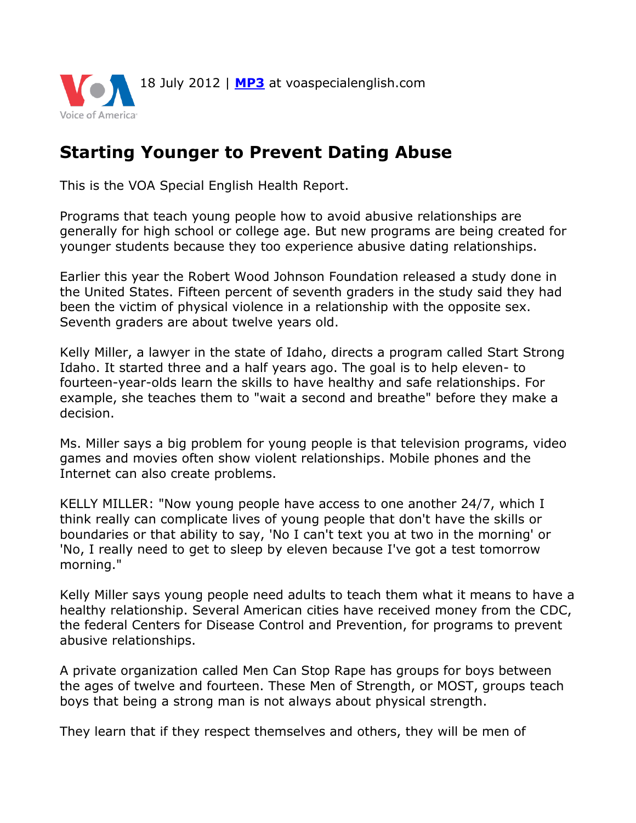

## **Starting Younger to Prevent Dating Abuse**

This is the VOA Special English Health Report.

Programs that teach young people how to avoid abusive relationships are generally for high school or college age. But new programs are being created for younger students because they too experience abusive dating relationships.

Earlier this year the Robert Wood Johnson Foundation released a study done in the United States. Fifteen percent of seventh graders in the study said they had been the victim of physical violence in a relationship with the opposite sex. Seventh graders are about twelve years old.

Kelly Miller, a lawyer in the state of Idaho, directs a program called Start Strong Idaho. It started three and a half years ago. The goal is to help eleven- to fourteen-year-olds learn the skills to have healthy and safe relationships. For example, she teaches them to "wait a second and breathe" before they make a decision.

Ms. Miller says a big problem for young people is that television programs, video games and movies often show violent relationships. Mobile phones and the Internet can also create problems.

KELLY MILLER: "Now young people have access to one another 24/7, which I think really can complicate lives of young people that don't have the skills or boundaries or that ability to say, 'No I can't text you at two in the morning' or 'No, I really need to get to sleep by eleven because I've got a test tomorrow morning."

Kelly Miller says young people need adults to teach them what it means to have a healthy relationship. Several American cities have received money from the CDC, the federal Centers for Disease Control and Prevention, for programs to prevent abusive relationships.

A private organization called Men Can Stop Rape has groups for boys between the ages of twelve and fourteen. These Men of Strength, or MOST, groups teach boys that being a strong man is not always about physical strength.

They learn that if they respect themselves and others, they will be men of